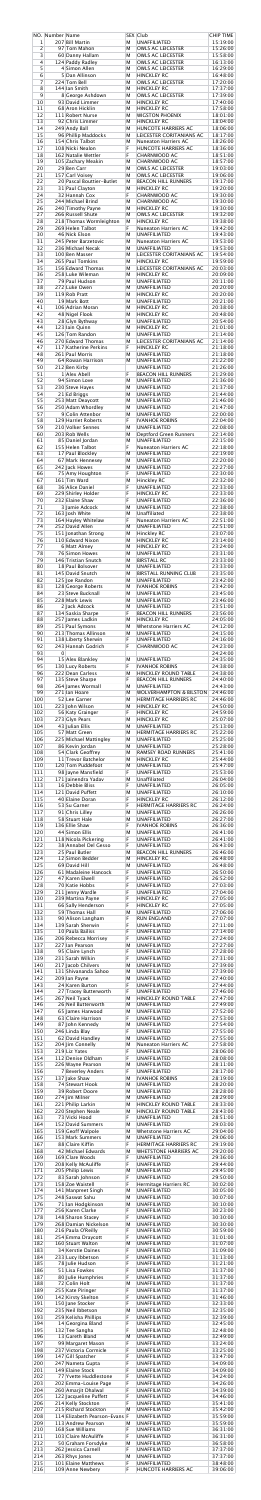| $\mathbf 1$       | NO. Number Name | 207 Bill Martin                                                 | М           | SEX Club<br><b>UNAFFILIATED</b>                                          | <b>CHIP TIME</b><br>15:19:00     |
|-------------------|-----------------|-----------------------------------------------------------------|-------------|--------------------------------------------------------------------------|----------------------------------|
| $\overline{2}$    |                 | 97 Tom Mahon                                                    | М           | <b>OWLS AC LEICESTER</b>                                                 | 15:26:00                         |
| 3                 |                 | 60 Danny Hallam                                                 | M           | <b>OWLS AC LEICESTER</b>                                                 | 15:58:00                         |
| 4                 |                 | 124 Paddy Radley                                                | М           | <b>OWLS AC LEICESTER</b>                                                 | 16:13:00                         |
| 5                 |                 | 4 Simon Allen                                                   | M           | <b>OWLS AC LEICESTER</b>                                                 | 16:29:00                         |
| 6                 |                 | 5 Dan Allinson                                                  | M           | <b>HINCKLEY RC</b>                                                       | 16:48:00                         |
| $\overline{7}$    |                 | 224 Tom Bell                                                    | M           | <b>OWLS AC LEICESTER</b>                                                 | 17:20:00                         |
| 8                 |                 | 144 Ian Smith                                                   | M           | <b>HINCKLEY RC</b>                                                       | 17:37:00                         |
| 9                 |                 | 8 George Ashdown                                                | М           | <b>OWLS AC LEICESTER</b>                                                 | 17:39:00                         |
| 10                |                 | 93 David Limmer                                                 | M           | <b>HINCKLEY RC</b>                                                       | 17:40:00                         |
| 11                |                 | 68 Aron Hicklin                                                 | M           | <b>HINCKLEY RC</b>                                                       | 17:58:00                         |
| 12                |                 | 111 Robert Nurse                                                | M           | <b>WIGSTON PHOENIX</b>                                                   | 18:01:00                         |
| 13                |                 | 92 Chris Limmer                                                 | M           | <b>HINCKLEY RC</b>                                                       | 18:04:00                         |
| 14                |                 | 249 Andy Ball                                                   | М           | HUNCOTE HARRIERS AC                                                      | 18:06:00                         |
| 15                |                 | 96 Phillip Maddocks                                             | M           | LEICESTER CORITANIANS AC                                                 | 18:17:00                         |
| 16                |                 | 154 Chris Talbot                                                | M           | <b>Nuneaton Harriers AC</b>                                              | 18:26:00                         |
| 17                |                 | 108 Nicki Nealon                                                | F           | <b>HUNCOTE HARRIERS AC</b>                                               | 18:36:00                         |
| 18                |                 | 162 Natalie Wettler                                             | F           | CHARNWOOD AC                                                             | 18:51:00                         |
| 19                |                 | 105 Zachary Meakin                                              | M           | <b>CHARNWOOD AC</b>                                                      | 18:57:00                         |
| 20                |                 | 29 Ben Carr                                                     | М           | <b>OWLS AC LEICESTER</b>                                                 | 19:03:00                         |
| 21                |                 | 157 Carl Voisey                                                 | M           | <b>OWLS AC LEICESTER</b>                                                 | 19:06:00                         |
| 22                |                 | 20 Pascal Bouttier-Butlet                                       | M           | <b>BEACON HILL RUNNERS</b>                                               | 19:17:00                         |
| 23                |                 | 31 Paul Clayton                                                 | M           | <b>HINCKLEY RC</b>                                                       | 19:20:00                         |
| 24                |                 | 32 Hannah Cox                                                   | F           | <b>CHARNWOOD AC</b>                                                      | 19:30:00                         |
| 25                |                 | 244 Michael Brind                                               | M           | <b>CHARNWOOD AC</b>                                                      | 19:30:00                         |
| 26                |                 | 240 Timothy Payne                                               | М           | <b>HINCKLEY RC</b>                                                       | 19:30:00                         |
| 27                |                 | 266 Russell Shute                                               | M           | <b>OWLS AC LEICESTER</b>                                                 | 19:32:00                         |
| 28                |                 | 218 Thomas Wormleighton                                         | M           | <b>HINCKLEY RC</b>                                                       | 19:38:00                         |
| 29                |                 | 269 Helen Talbot                                                | F           | <b>Nuneaton Harriers AC</b>                                              | 19:42:00                         |
| 30                |                 | 46 Nick Elson                                                   | М           | <b>UNAFFILIATED</b>                                                      | 19:43:00                         |
| 31                |                 | 245 Peter Barzetovic                                            | М           | <b>Nuneaton Harriers AC</b>                                              | 19:53:00                         |
| 32                |                 | 236 Michael Necak                                               | М           | <b>UNAFFILIATED</b>                                                      | 19:53:00                         |
| 33                |                 | 100 Ben Masser                                                  | M           | <b>LEICESTER CORITANIANS AC</b>                                          | 19:54:00                         |
| 34                |                 | 265 Paul Tomkins                                                | М           | <b>HINCKLEY RC</b>                                                       | 19:59:00                         |
| 35                |                 | 156 Edward Thomas                                               | M           | LEICESTER CORITANIANS AC                                                 | 20:03:00                         |
| 36                |                 | 258 Luke Wileman                                                | М           | <b>HINCKLEY RC</b>                                                       | 20:09:00                         |
| 37                |                 | 79 Paul Hudson                                                  | М           | <b>UNAFFILIATED</b>                                                      | 20:11:00                         |
| 38                |                 | 272 Luke Owen                                                   | М           | <b>UNAFFILIATED</b>                                                      | 20:20:00                         |
| 39                |                 | 119 Rob Pratt                                                   | М           | <b>HINCKLEY RC</b>                                                       | 20:20:00                         |
| 40                |                 | 19 Mark Bott                                                    | М           | <b>UNAFFILIATED</b>                                                      | 20:21:00                         |
| 41                |                 | 106 Adrian Moran                                                | М           | <b>HINCKLEY RC</b>                                                       | 20:38:00                         |
| 42                |                 | 48 Nigel Flook                                                  | М           | <b>HINCKLEY RC</b>                                                       | 20:48:00                         |
| 43                |                 | 28 Glyn Bythway                                                 | M           | <b>UNAFFILIATED</b>                                                      | 20:54:00                         |
| 44                |                 | 123 Iain Quinn                                                  | М           | <b>HINCKLEY RC</b>                                                       | 21:01:00                         |
| 45                |                 | 126 Tom Randon                                                  | M           | <b>UNAFFILIATED</b>                                                      | 21:14:00                         |
| 46                |                 | 270 Edward Thomas                                               | М           | LEICESTER CORITANIANS AC                                                 | 21:14:00                         |
| 47                |                 | 117 Katherine Perkins                                           | F           | <b>HINCKLEY RC</b>                                                       | 21:18:00                         |
| 48                |                 | 261 Paul Morris                                                 | М           | <b>UNAFFILIATED</b>                                                      | 21:18:00                         |
| 49                |                 | 64 Rowan Harrison                                               | M           | <b>UNAFFILIATED</b>                                                      | 21:22:00                         |
| 50<br>51          |                 | 212 Ben Kirby<br>1 Alex Abell                                   | F           | <b>UNAFFILIATED</b><br><b>BEACON HILL RUNNERS</b>                        | 21:26:00<br>21:29:00             |
| 52                |                 | 94 Simon Love                                                   | М           | <b>UNAFFILIATED</b>                                                      | 21:36:00                         |
| 53                |                 | 230 Steve Hayes                                                 | М           | <b>UNAFFILIATED</b>                                                      | 21:37:00                         |
| 54                |                 | 21 Ed Briggs                                                    | М           | <b>UNAFFILIATED</b>                                                      | 21:44:00                         |
| 55                |                 | 253 Matt Deaycott                                               | М           | <b>UNAFFILIATED</b>                                                      | 21:46:00                         |
| 56                |                 | 250 Adam Whordley                                               | М           | <b>UNAFFILIATED</b>                                                      | 21:47:00                         |
| 57                |                 | 9 Colin Attenbor                                                | М           | <b>UNAFFILIATED</b>                                                      | 22:00:00                         |
| 58                |                 | 129 Harriet Roberts                                             | F           | <b>IVANHOE ROBINS</b>                                                    | 22:04:00                         |
| 59                |                 | 210 Volker Sennes                                               | M           | <b>UNAFFILIATED</b>                                                      | 22:08:00                         |
| 60                |                 | 203 Rob Wells                                                   | М           | <b>Deptford Green Runners</b>                                            | 22:14:00                         |
| 61                |                 | 85 Daniel Jordan                                                | M           | <b>UNAFFILIATED</b>                                                      | 22:15:00                         |
| 62                |                 | 155 Helen Talbot                                                | F           | <b>Nuneaton Harriers AC</b>                                              | 22:18:00                         |
| 63                |                 | 17 Paul Blockley                                                | M           | <b>UNAFFILIATED</b>                                                      | 22:19:00                         |
| 64                |                 | 67 Mark Hennesey                                                | М           | <b>UNAFFILIATED</b>                                                      | 22:20:00                         |
| 65                |                 | 242 Jack Howes                                                  | M           | <b>UNAFFILIATED</b>                                                      | 22:27:00                         |
| 66                |                 | 75 Amy Houghton                                                 | F           | <b>UNAFFILIATED</b>                                                      | 22:30:00                         |
| 67                |                 | 161 Tim Ward                                                    | M           | Hinckley RC                                                              | 22:32:00                         |
| 68                |                 | 36 Alice Daniel                                                 | F           | <b>UNAFFILIATED</b>                                                      | 22:33:00                         |
| 69                |                 | 229 Shirley Holder                                              | F           | <b>HINCKLEY RC</b>                                                       | 22:33:00                         |
| 70                |                 | 232 Elaine Shaw                                                 | F           | <b>UNAFFILIATED</b>                                                      | 22:36:00                         |
| 71                |                 | 3 Jamie Adcock                                                  | M           | <b>UNAFFILIATED</b>                                                      | 22:38:00                         |
| 72                |                 | 163 Josh White                                                  | М           | Unaffiliated                                                             | 22:38:00                         |
| 73                |                 | 164 Hayley Whitelaw                                             | F           | <b>Nuneaton Harriers AC</b>                                              | 22:51:00                         |
| 74                |                 | 252 David Allen                                                 | М           | <b>UNAFFILIATED</b>                                                      | 22:51:00                         |
| 75                |                 | 151 Jonathan Strong                                             | M           | Hinckley RC                                                              | 23:07:00                         |
| 76                |                 | 110 Edward Nixon                                                | М           | <b>HINCKLEY RC</b>                                                       | 23:14:00                         |
| 77                |                 | 6 Matt Almey                                                    | M           | <b>HINCKLEY RC</b>                                                       | 23:24:00                         |
| 78                |                 | 76 Simon Howes                                                  | М           | <b>UNAFFILIATED</b>                                                      | 23:31:00                         |
| 79                |                 | 146 Tristian Snutch                                             | M           | <b>BIRSTALL RC</b>                                                       | 23:33:00                         |
| 80                |                 | 18 Paul Bolsover                                                | М           | <b>UNAFFILIATED</b>                                                      | 23:33:00                         |
| 81                |                 | 145 David Snutch                                                | M           | <b>BIRSTALL RUNNING CLUB</b>                                             | 23:35:00                         |
| 82                |                 | 125 Joe Randon                                                  | М           | <b>UNAFFILIATED</b>                                                      | 23:42:00                         |
| 83                |                 | 128 George Roberts<br>23 Steve Bucknall                         | М           | <b>IVANHOE ROBINS</b>                                                    | 23:42:00                         |
| 84<br>85          |                 | 228 Mark Lewis                                                  | М<br>M      | <b>UNAFFILIATED</b><br><b>UNAFFILIATED</b>                               | 23:45:00<br>23:46:00             |
| 86                |                 | 2 Jack Adcock                                                   | M           | <b>UNAFFILIATED</b>                                                      | 23:51:00                         |
| 87                |                 | 134 Saskia Sharpe                                               | F           | <b>BEACON HILL RUNNERS</b>                                               | 23:56:00                         |
| 88                |                 | 257 James Ladkin                                                | M           | <b>HINCKLEY RC</b>                                                       | 24:05:00                         |
| 89                |                 | 251 Paul Symons                                                 | M           | <b>Whetstone Harriers AC</b>                                             | 24:12:00                         |
| 90                |                 | 213 Thomas Allinson                                             | М           | <b>UNAFFILIATED</b>                                                      | 24:15:00                         |
| 91                |                 | 138 Liberty Sherwin                                             | F           | <b>UNAFFILIATED</b>                                                      | 24:16:00                         |
| 92<br>93          | $\overline{0}$  | 243 Hannah Godrich                                              | F           | <b>CHARNWOOD AC</b>                                                      | 24:23:00<br>24:24:00             |
| 94                |                 | 15 Alex Blankley                                                | М           | <b>UNAFFILIATED</b>                                                      | 24:35:00                         |
| 95                |                 | 130 Lucy Roberts                                                | F           | <b>IVANHOE ROBINS</b>                                                    | 24:38:00                         |
| 96                |                 | 222 Dean Carless                                                | M           | <b>HINCKLEY ROUND TABLE</b>                                              | 24:38:00                         |
| 97                |                 | 135 Steve Sharpe                                                | F           | <b>BEACON HILL RUNNERS</b>                                               | 24:40:00                         |
| 98                |                 | 264 James Wormall                                               | M           | <b>UNAFFILIATED</b>                                                      | 24:43:00                         |
| 99                |                 | 271 Ian Hoare                                                   | M           | <b>WOLVERHAMPTON &amp; BILSTON</b>                                       | 24:46:00                         |
| 100<br>101<br>102 |                 | 52 Lee Garner<br>223 John Wilson                                | M<br>M<br>F | <b>HERMITAGE HARRIERS RC</b><br><b>HINCKLEY RC</b><br><b>HINCKLEY RC</b> | 24:46:00<br>24:50:00<br>24:59:00 |
| 103<br>104        |                 | 56 Katy Grainger<br>273 Glyn Pears<br>43 Julian Ellis           | М<br>М      | <b>HINCKLEY RC</b><br><b>UNAFFILIATED</b>                                | 25:07:00<br>25:13:00             |
| 105               |                 | 57 Matt Green                                                   | M           | <b>HERMITAGE HARRIERS RC</b>                                             | 25:22:00                         |
| 106               |                 | 225 Michael Mattingley                                          | М           | <b>UNAFFILIATED</b>                                                      | 25:25:00                         |
| 107               |                 | 86 Kevin Jordan                                                 | M           | <b>UNAFFILIATED</b>                                                      | 25:28:00                         |
| 108               |                 | 54 Clark Geoffrey                                               | М           | <b>RAMSEY ROAD RUNNERS</b>                                               | 25:41:00                         |
| 109               |                 | 11 Trevor Batchelor                                             | M           | <b>HINCKLEY RC</b>                                                       | 25:44:00                         |
| 110               |                 | 120 Tom Puddefoot                                               | M           | <b>UNAFFILIATED</b>                                                      | 25:47:00                         |
| 111               |                 | 98 Jayne Mansfield                                              | F           | <b>UNAFFILIATED</b>                                                      | 25:53:00                         |
| 112               |                 | 171 Jainendra Yadav                                             | M           | Unaffiliated                                                             | 26:04:00                         |
| 113               |                 | 16 Debbie Bliss                                                 | F           | <b>UNAFFILIATED</b>                                                      | 26:05:00                         |
| 114               |                 | 121 David Puffett                                               | M           | <b>UNAFFILIATED</b>                                                      | 26:10:00                         |
| 115               |                 | 40 Elaine Doran                                                 | F           | <b>HINCKLEY RC</b>                                                       | 26:12:00                         |
| 116               |                 | 53 Su Garner                                                    | F           | <b>HERMITAGE HARRIERS RC</b>                                             | 26:24:00                         |
| 117               |                 | 91 Chris Lilley                                                 | M           | <b>UNAFFILIATED</b>                                                      | 26:26:00                         |
| 118               |                 | 58 Stuart Hale                                                  | M           | <b>UNAFFILIATED</b>                                                      | 26:27:00                         |
| 119               |                 | 136 Ellie Shaw                                                  | F           | <b>IVANHOE ROBINS</b>                                                    | 26:36:00                         |
| 120               |                 | 44 Simon Ellis                                                  | M           | <b>UNAFFILIATED</b>                                                      | 26:41:00                         |
| 121               |                 | 118 Nicola Pickering                                            | F           | <b>UNAFFILIATED</b>                                                      | 26:41:00                         |
| 122               |                 | 38 Annabel Del Gesso                                            | F           | <b>UNAFFILIATED</b>                                                      | 26:43:00                         |
| 123               |                 | 25 Paul Butler                                                  | M           | <b>BEACON HILL RUNNERS</b>                                               | 26:46:00                         |
| 124               |                 | 12 Simon Bedder                                                 | M           | <b>HINCKLEY RC</b>                                                       | 26:48:00                         |
| 125               |                 | 69 David Hill                                                   | M           | <b>UNAFFILIATED</b>                                                      | 26:48:00                         |
| 126               |                 | 61 Madaleine Hancock                                            | F           | <b>UNAFFILIATED</b>                                                      | 26:50:00                         |
| 127               |                 | 47 Karen Elwell                                                 | F           | <b>UNAFFILIATED</b>                                                      | 26:52:00                         |
| 128               |                 | 70 Katie Hobbs                                                  | F           | <b>UNAFFILIATED</b>                                                      | 27:03:00                         |
| 129               |                 | 211 Jenny Wardle                                                | F           | <b>UNAFFILIATED</b>                                                      | 27:04:00                         |
| 130               |                 | 239 Martina Payne                                               | F           | <b>HINCKLEY RC</b>                                                       | 27:05:00                         |
| 131               |                 | 66 Sally Henderson                                              | F           | <b>HINCKLEY RC</b>                                                       | 27:05:00                         |
| 132               |                 | 59 Thomas Hall                                                  | M           | <b>UNAFFILIATED</b>                                                      | 27:06:00                         |
| 133               |                 | 90 Alison Langham                                               | F           | <b>RUN ENGLAND</b>                                                       | 27:07:00                         |
| 134               |                 | 139 Sarah Sherwin                                               | F           | <b>UNAFFILIATED</b>                                                      | 27:11:00                         |
| 135               |                 | 10 Paula Bailiss                                                | F           | <b>UNAFFILIATED</b>                                                      | 27:14:00                         |
| 136               |                 | 206 Rebecca Morrisey                                            | F           | <b>UNAFFILIATED</b>                                                      | 27:24:00                         |
| 137               |                 | 227 Ian Pearson                                                 | M           | <b>UNAFFILIATED</b>                                                      | 27:27:00                         |
| 138               |                 | 95 Claire Lynch                                                 | F           | <b>UNAFFILIATED</b>                                                      | 27:28:00                         |
| 139               |                 | 231 Sarah Wilkin                                                | F           | <b>UNAFFILIATED</b>                                                      | 27:31:00                         |
| 140               |                 | 217 Jacob Chilvers                                              | M           | <b>UNAFFILIATED</b>                                                      | 27:39:00                         |
| 141               |                 | 131 Shivananda Sahoo                                            | М           | <b>UNAFFILIATED</b>                                                      | 27:39:00                         |
| 142               |                 | 209 Ian Payne                                                   | M           | <b>UNAFFILIATED</b>                                                      | 27:40:00                         |
| 143               |                 | 24 Karen Burton                                                 | F           | <b>UNAFFILIATED</b>                                                      | 27:44:00                         |
| 144               |                 | 27 Tracey Butterworth                                           | F           | <b>UNAFFILIATED</b>                                                      | 27:46:00                         |
| 145               |                 | 267 Neil Tyack                                                  | M           | <b>HINCKLEY ROUND TABLE</b>                                              | 27:47:00                         |
| 146               |                 | 26 Neil Butterworth                                             | M           | <b>UNAFFILIATED</b>                                                      | 27:49:00                         |
| 147               |                 | 65 James Harwood                                                | M           | <b>UNAFFILIATED</b>                                                      | 27:52:00                         |
| 148               |                 | 63 Claire Harrison                                              | F           | <b>UNAFFILIATED</b>                                                      | 27:53:00                         |
| 149               |                 | 87 John Kennedy                                                 | M           | <b>UNAFFILIATED</b>                                                      | 27:54:00                         |
| 150               |                 | 246 Linda Blay                                                  | F           | <b>UNAFFILIATED</b>                                                      | 27:55:00                         |
| 151               |                 | 62 David Handley                                                | М           | <b>UNAFFILIATED</b>                                                      | 27:55:00                         |
| 152               |                 | 204 Jim Connelly                                                | M           | <b>Nuneaton Harriers AC</b>                                              | 27:58:00                         |
| 153               |                 | 219 Liz Yates                                                   | F           | <b>UNAFFILIATED</b>                                                      | 28:06:00                         |
| 154               |                 | 112 Denise Oldham                                               | F           | <b>UNAFFILIATED</b>                                                      | 28:08:00                         |
| 155               |                 | 226 Wayne Pearson                                               | М           | <b>UNAFFILIATED</b>                                                      | 28:11:00                         |
| 156               |                 | 7 Beverley Anders                                               | F           | <b>UNAFFILIATED</b>                                                      | 28:17:00                         |
| 157               |                 | 137 Jake Shaw                                                   | М           | <b>IVANHOE ROBINS</b>                                                    | 28:19:00                         |
| 158               |                 | 74 Stewart Hook                                                 | M           | <b>UNAFFILIATED</b>                                                      | 28:20:00                         |
| 159               |                 | 39 Robert Doore                                                 | M           | <b>UNAFFILIATED</b>                                                      | 28:28:00                         |
| 160               |                 | 274 Jim Milner                                                  | M           | <b>UNAFFILIATED</b>                                                      | 28:29:00                         |
| 161               |                 | 221 Philip Larkin                                               | M           | <b>HINCKLEY ROUND TABLE</b>                                              | 28:33:00                         |
| 162               |                 | 220 Stephen Neale                                               | M           | <b>HINCKLEY ROUND TABLE</b>                                              | 28:43:00                         |
| 163               |                 | 73 Vicki Hood                                                   | F           | <b>UNAFFILIATED</b>                                                      | 28:51:00                         |
| 164               |                 | 152 David Summers                                               | M           | <b>UNAFFILIATED</b>                                                      | 29:03:00                         |
| 165               |                 | 159 Geoff Walpole                                               | M           | <b>Whetstone Harriers AC</b>                                             | 29:04:00                         |
| 166               |                 | 153 Mark Summers                                                | M           | <b>UNAFFILIATED</b>                                                      | 29:06:00                         |
| 167               |                 | 88 Claire Kiffin                                                | F           | <b>HERMITAGE HARRIERS RC</b>                                             | 29:19:00                         |
| 168               |                 | 42 Michael Edwards                                              | M           | <b>WHETSTONE HARRIERS AC</b>                                             | 29:20:00                         |
| 169               |                 | 169 Clare Woods                                                 | F           | <b>UNAFFILIATED</b>                                                      | 29:36:00                         |
| 170               |                 | 208 Kelly McAuliffe                                             | F           | <b>UNAFFILIATED</b>                                                      | 29:44:00                         |
| 171               |                 | 205 Philip Lewis                                                | M           | <b>UNAFFILIATED</b>                                                      | 29:45:00                         |
| 172               |                 | 83 Sarah Johnson                                                | F           | <b>UNAFFILIATED</b>                                                      | 29:50:00                         |
| 173               |                 | 158 Zoe Waistell                                                | F           | Hermitage Harriers RC                                                    | 30:02:00                         |
| 174               |                 | 141 Manpreet Singh                                              | M           | <b>UNAFFILIATED</b>                                                      | 30:05:00                         |
| 175               |                 | 248 Saswat Sahu                                                 | M           | <b>UNAFFILIATED</b>                                                      | 30:07:00                         |
| 176               |                 | 71 Ian Hodgkinson                                               | M           | <b>UNAFFILIATED</b>                                                      | 30:10:00                         |
| 177               |                 | 256 Karen Clarke                                                | F           | <b>UNAFFILIATED</b>                                                      | 30:23:00                         |
| 178               |                 | 148 Sharon Stacey                                               | F           | <b>UNAFFILIATED</b>                                                      | 30:30:00                         |
| 179               |                 | 268 Damian Nickelson                                            | М           | <b>UNAFFILIATED</b>                                                      | 30:30:00                         |
| 180               |                 | 216 Paula O'Reilly                                              | F           | <b>UNAFFILIATED</b>                                                      | 30:59:00                         |
| 181               |                 | 254 Emma Draycott                                               | F           | <b>UNAFFILIATED</b>                                                      | 31:01:00                         |
| 182               |                 | 160 Stuart Walton                                               | M           | <b>UNAFFILIATED</b>                                                      | 31:07:00                         |
| 183               |                 | <b>34 Kerstie Daines</b>                                        | F           | <b>UNAFFILIATED</b>                                                      | 31:09:00                         |
| 184               |                 | 233 Lucy Ibbetson                                               | F           | <b>UNAFFILIATED</b>                                                      | 31:13:00                         |
| 185               |                 | 78 Julie Hudson                                                 | F           | <b>UNAFFILIATED</b>                                                      | 31:21:00                         |
| 186               |                 | 51 Lisa Fowkes                                                  | F           | <b>UNAFFILIATED</b>                                                      | 31:37:00                         |
| 187               |                 | 80 Julie Humphries                                              | F           | <b>UNAFFILIATED</b>                                                      | 31:37:00                         |
| 188               |                 | 72 Colin Holt                                                   | M           | <b>UNAFFILIATED</b>                                                      | 31:37:00                         |
| 189               |                 | 255 Kate Piringer                                               | F           | <b>UNAFFILIATED</b>                                                      | 31:37:00                         |
| 190               |                 | 142 Kirsty Skelton                                              | F           | <b>UNAFFILIATED</b>                                                      | 31:46:00                         |
| 191               |                 | 150 Jane Stocker                                                | F           | <b>UNAFFILIATED</b>                                                      | 32:33:00                         |
| 192               |                 | 235 Neil Ibbetson                                               | M           | <b>UNAFFILIATED</b>                                                      | 32:35:00                         |
| 193               |                 | 259 Kelisha Phillips                                            | F           | <b>UNAFFILIATED</b>                                                      | 32:39:00                         |
| 194               |                 | 14 Georgina Bland                                               | F           | <b>UNAFFILIATED</b>                                                      | 32:45:00                         |
| 195<br>196        |                 | 132 Tee Sangha<br>13 Gareth Bland                               | F<br>M<br>F | <b>UNAFFILIATED</b><br><b>UNAFFILIATED</b>                               | 32:48:00<br>32:49:00             |
| 197<br>198<br>199 |                 | 99 Margaret Mason<br>237 Victoria Cormicle<br>147 Gill Spatcher | F<br>F      | <b>UNAFFILIATED</b><br><b>UNAFFILIATED</b><br><b>UNAFFILIATED</b>        | 33:24:00<br>33:25:00<br>33:47:00 |
| 200               |                 | 247 Nameta Gupta                                                | F           | <b>UNAFFILIATED</b>                                                      | 34:09:00                         |
| 201               |                 | 149 Elaine Stock                                                | F           | <b>UNAFFILIATED</b>                                                      | 34:09:00                         |
| 202               |                 | 77 Yvette Huddlestone                                           | F           | <b>UNAFFILIATED</b>                                                      | 34:24:00                         |
| 203               |                 | 202 Emma-Louise Page                                            | F           | <b>UNAFFILIATED</b>                                                      | 34:26:00                         |
| 204               |                 | 260 Amarjit Dhalwal                                             | F           | <b>UNAFFILIATED</b>                                                      | 34:39:00                         |
| 205               |                 | 122 Jacqueline Puffett                                          | F           | <b>UNAFFILIATED</b>                                                      | 34:46:00                         |
| 206               |                 | 214 Kelly Stockton                                              | F           | <b>UNAFFILIATED</b>                                                      | 35:41:00                         |
| 207               |                 | 215 Richard Stockton                                            | M           | <b>UNAFFILIATED</b>                                                      | 35:42:00                         |
| 208               |                 | 114 Elizabeth Pearson-Evans                                     | F           | <b>UNAFFILIATED</b>                                                      | 35:59:00                         |
| 209               |                 | 113 Andrew Pearson                                              | M           | <b>UNAFFILIATED</b>                                                      | 35:59:00                         |
| 210               |                 | 168 Sue Williams                                                | F           | <b>UNAFFILIATED</b>                                                      | 36:31:00                         |
| 211               |                 | 103 Claire McAuliffe                                            | F           | <b>UNAFFILIATED</b>                                                      | 36:31:00                         |
| 212               |                 | 50 Graham Forsdyke                                              | М           | <b>UNAFFILIATED</b>                                                      | 36:58:00                         |
| 213               |                 | 262 Jessica Carnell                                             | F           | <b>UNAFFILIATED</b>                                                      | 37:37:00                         |
| 214               |                 | 263 Rhys Jones                                                  | М           | <b>UNAFFILIATED</b>                                                      | 37:37:00                         |
| 215               |                 | 101 Elaine Matthews                                             | F           | <b>UNAFFILIATED</b>                                                      | 38:48:00                         |
| 216               |                 | 109 Anne Newbery                                                | F           | HUNCOTE HARRIERS AC                                                      | 39:06:00                         |